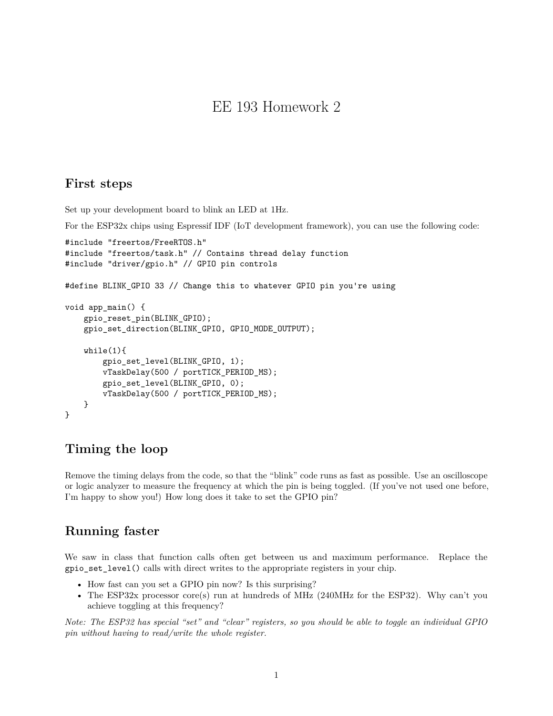# EE 193 Homework 2

#### **First steps**

Set up your development board to blink an LED at 1Hz.

For the ESP32x chips using Espressif IDF (IoT development framework), you can use the following code:

```
#include "freertos/FreeRTOS.h"
#include "freertos/task.h" // Contains thread delay function
#include "driver/gpio.h" // GPIO pin controls
#define BLINK_GPIO 33 // Change this to whatever GPIO pin you're using
void app_main() {
   gpio_reset_pin(BLINK_GPIO);
   gpio_set_direction(BLINK_GPIO, GPIO_MODE_OUTPUT);
   while(1){
        gpio_set_level(BLINK_GPIO, 1);
        vTaskDelay(500 / portTICK_PERIOD_MS);
        gpio_set_level(BLINK_GPIO, 0);
        vTaskDelay(500 / portTICK_PERIOD_MS);
   }
}
```
### **Timing the loop**

Remove the timing delays from the code, so that the "blink" code runs as fast as possible. Use an oscilloscope or logic analyzer to measure the frequency at which the pin is being toggled. (If you've not used one before, I'm happy to show you!) How long does it take to set the GPIO pin?

### **Running faster**

We saw in class that function calls often get between us and maximum performance. Replace the gpio\_set\_level() calls with direct writes to the appropriate registers in your chip.

- How fast can you set a GPIO pin now? Is this surprising?
- The ESP32x processor core(s) run at hundreds of MHz (240MHz for the ESP32). Why can't you achieve toggling at this frequency?

*Note: The ESP32 has special "set" and "clear" registers, so you should be able to toggle an individual GPIO pin without having to read/write the whole register.*